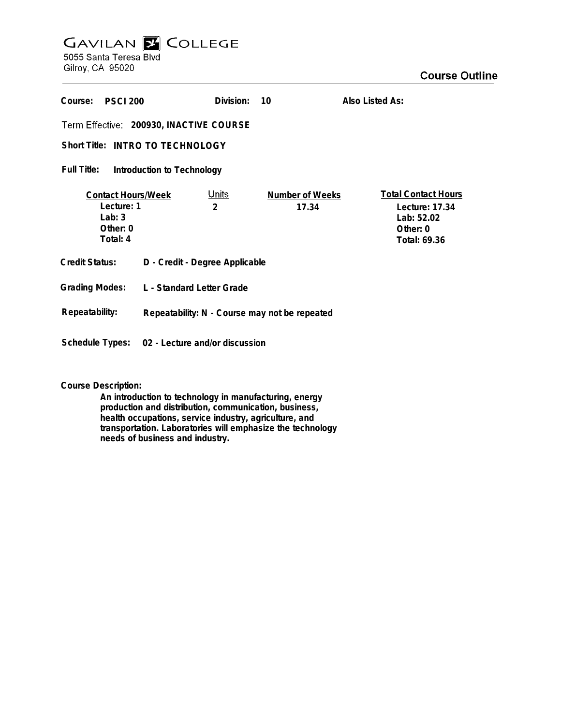## **GAVILAN E COLLEGE** 5055 Santa Teresa Blvd

Gilroy, CA 95020

| Course:<br><b>PSCI 200</b>                                                  |                                               | Division:         | 10                              | Also Listed As:                                                                        |
|-----------------------------------------------------------------------------|-----------------------------------------------|-------------------|---------------------------------|----------------------------------------------------------------------------------------|
| Term Effective: 200930, INACTIVE COURSE<br>Short Title: INTRO TO TECHNOLOGY |                                               |                   |                                 |                                                                                        |
| Full Title:<br>Introduction to Technology                                   |                                               |                   |                                 |                                                                                        |
| <b>Contact Hours/Week</b><br>Lecture: 1<br>Lab: $3$<br>Other: 0<br>Total: 4 |                                               | <u>Units</u><br>2 | <b>Number of Weeks</b><br>17.34 | <b>Total Contact Hours</b><br>Lecture: 17.34<br>Lab: 52.02<br>Other: 0<br>Total: 69.36 |
| Credit Status:                                                              | D - Credit - Degree Applicable                |                   |                                 |                                                                                        |
| <b>Grading Modes:</b>                                                       | L - Standard Letter Grade                     |                   |                                 |                                                                                        |
| Repeatability:                                                              | Repeatability: N - Course may not be repeated |                   |                                 |                                                                                        |
| Schedule Types:                                                             | 02 - Lecture and/or discussion                |                   |                                 |                                                                                        |

**Course Description:**

**An introduction to technology in manufacturing, energy production and distribution, communication, business, health occupations, service industry, agriculture, and transportation. Laboratories will emphasize the technology needs of business and industry.**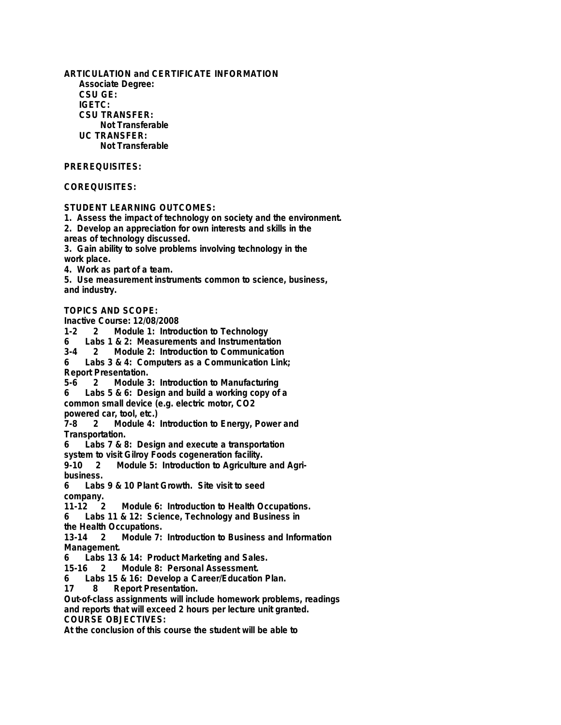**Associate Degree: CSU GE: IGETC: CSU TRANSFER: Not Transferable UC TRANSFER: Not Transferable PREREQUISITES: COREQUISITES: STUDENT LEARNING OUTCOMES: 1. Assess the impact of technology on society and the environment. 2. Develop an appreciation for own interests and skills in the areas of technology discussed. 3. Gain ability to solve problems involving technology in the work place. 4. Work as part of a team. 5. Use measurement instruments common to science, business, and industry. TOPICS AND SCOPE: Inactive Course: 12/08/2008** Module 1: Introduction to Technology **6 Labs 1 & 2: Measurements and Instrumentation 3-4 2 Module 2: Introduction to Communication 6 Labs 3 & 4: Computers as a Communication Link; Report Presentation. 5-6 2 Module 3: Introduction to Manufacturing 6 Labs 5 & 6: Design and build a working copy of a common small device (e.g. electric motor, CO2 powered car, tool, etc.)** Module 4: Introduction to Energy, Power and **Transportation. 6 Labs 7 & 8: Design and execute a transportation system to visit Gilroy Foods cogeneration facility.** Module 5: Introduction to Agriculture and Agri**business. 6 Labs 9 & 10 Plant Growth. Site visit to seed company. Module 6: Introduction to Health Occupations. 6 Labs 11 & 12: Science, Technology and Business in the Health Occupations. 13-14 2 Module 7: Introduction to Business and Information Management. 6 Labs 13 & 14: Product Marketing and Sales. 15-16 2 Module 8: Personal Assessment. 6 Labs 15 & 16: Develop a Career/Education Plan. 17 8 Report Presentation. Out-of-class assignments will include homework problems, readings and reports that will exceed 2 hours per lecture unit granted. COURSE OBJECTIVES: At the conclusion of this course the student will be able to**

**ARTICULATION and CERTIFICATE INFORMATION**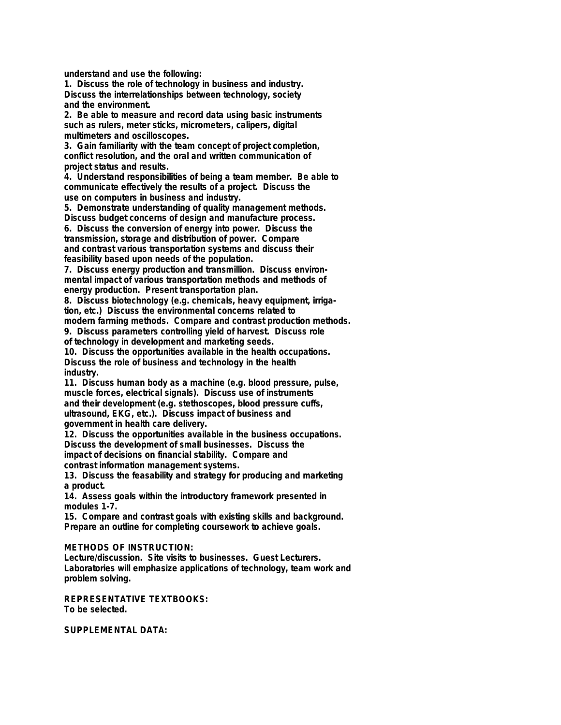**understand and use the following:**

**1. Discuss the role of technology in business and industry. Discuss the interrelationships between technology, society and the environment.**

**2. Be able to measure and record data using basic instruments such as rulers, meter sticks, micrometers, calipers, digital multimeters and oscilloscopes.**

**3. Gain familiarity with the team concept of project completion, conflict resolution, and the oral and written communication of project status and results.**

**4. Understand responsibilities of being a team member. Be able to communicate effectively the results of a project. Discuss the use on computers in business and industry.**

**5. Demonstrate understanding of quality management methods. Discuss budget concerns of design and manufacture process.**

**6. Discuss the conversion of energy into power. Discuss the transmission, storage and distribution of power. Compare and contrast various transportation systems and discuss their feasibility based upon needs of the population.**

**7. Discuss energy production and transmillion. Discuss environmental impact of various transportation methods and methods of energy production. Present transportation plan.**

**8. Discuss biotechnology (e.g. chemicals, heavy equipment, irrigation, etc.) Discuss the environmental concerns related to**

**modern farming methods. Compare and contrast production methods. 9. Discuss parameters controlling yield of harvest. Discuss role**

**of technology in development and marketing seeds.**

**10. Discuss the opportunities available in the health occupations. Discuss the role of business and technology in the health industry.**

**11. Discuss human body as a machine (e.g. blood pressure, pulse, muscle forces, electrical signals). Discuss use of instruments and their development (e.g. stethoscopes, blood pressure cuffs, ultrasound, EKG, etc.). Discuss impact of business and government in health care delivery.**

**12. Discuss the opportunities available in the business occupations. Discuss the development of small businesses. Discuss the impact of decisions on financial stability. Compare and contrast information management systems.**

**13. Discuss the feasability and strategy for producing and marketing a product.**

**14. Assess goals within the introductory framework presented in modules 1-7.**

**15. Compare and contrast goals with existing skills and background. Prepare an outline for completing coursework to achieve goals.**

**METHODS OF INSTRUCTION:**

**Lecture/discussion. Site visits to businesses. Guest Lecturers. Laboratories will emphasize applications of technology, team work and problem solving.**

**REPRESENTATIVE TEXTBOOKS: To be selected.**

**SUPPLEMENTAL DATA:**